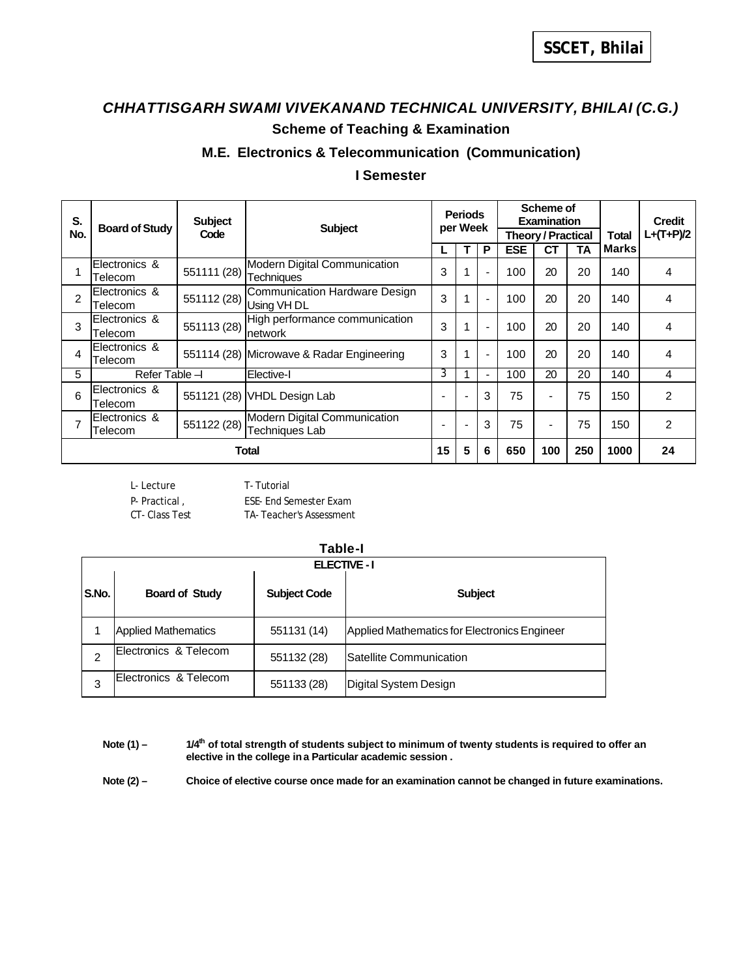## *CHHATTISGARH SWAMI VIVEKANAND TECHNICAL UNIVERSITY, BHILAI (C.G.)* **Scheme of Teaching & Examination**

### **M.E. Electronics & Telecommunication (Communication)**

### **I Semester**

| S.             | <b>Board of Study</b>    | <b>Subject</b> | <b>Subject</b>                                    | <b>Periods</b><br>per Week   |   | Scheme of<br><b>Examination</b> |                           |                          | <b>Credit</b> |              |                |
|----------------|--------------------------|----------------|---------------------------------------------------|------------------------------|---|---------------------------------|---------------------------|--------------------------|---------------|--------------|----------------|
| No.            |                          | Code           |                                                   |                              |   |                                 | <b>Theory / Practical</b> |                          |               | Total        | $L+(T+P)/2$    |
|                |                          |                |                                                   |                              |   | P                               | <b>ESE</b>                | <b>CT</b>                | TA            | <b>Marks</b> |                |
|                | Electronics &<br>Telecom | 551111 (28)    | Modern Digital Communication<br><b>Techniques</b> | 3                            |   | $\blacksquare$                  | 100                       | 20                       | 20            | 140          | 4              |
| $\overline{2}$ | Electronics &<br>Telecom | 551112 (28)    | Communication Hardware Design<br>Using VH DL      | 3                            |   | $\blacksquare$                  | 100                       | 20                       | 20            | 140          | 4              |
| 3              | Electronics &<br>Telecom | 551113 (28)    | High performance communication<br>network         | 3                            |   | $\blacksquare$                  | 100                       | 20                       | 20            | 140          | 4              |
| 4              | Electronics &<br>Telecom |                | 551114 (28) Microwave & Radar Engineering         | 3                            |   | $\blacksquare$                  | 100                       | 20                       | 20            | 140          | 4              |
| 5              | Refer Table -            |                | Elective-I                                        | 3                            |   | $\blacksquare$                  | 100                       | 20                       | 20            | 140          | 4              |
| 6              | Electronics &<br>Telecom | 551121 (28)    | VHDL Design Lab                                   | $\qquad \qquad \blacksquare$ | ٠ | 3                               | 75                        | $\overline{\phantom{a}}$ | 75            | 150          | $\overline{2}$ |
|                | Electronics &<br>Telecom | 551122 (28)    | Modern Digital Communication<br>Techniques Lab    | $\qquad \qquad \blacksquare$ | ٠ | 3                               | 75                        | $\overline{\phantom{a}}$ | 75            | 150          | $\overline{2}$ |
|                | Total                    |                |                                                   | 15                           | 5 | 6                               | 650                       | 100                      | 250           | 1000         | 24             |

L- Lecture T- Tutorial P- Practical, ESE- End Semester Exam CT- Class Test TA- Teacher's Assessment

|       | Table-I                    |                     |                                              |  |  |  |  |  |  |
|-------|----------------------------|---------------------|----------------------------------------------|--|--|--|--|--|--|
|       | <b>ELECTIVE - I</b>        |                     |                                              |  |  |  |  |  |  |
| S.No. | <b>Board of Study</b>      | <b>Subject Code</b> | <b>Subject</b>                               |  |  |  |  |  |  |
|       | <b>Applied Mathematics</b> | 551131 (14)         | Applied Mathematics for Electronics Engineer |  |  |  |  |  |  |
| 2     | Electronics & Telecom      | 551132 (28)         | <b>ISatellite Communication</b>              |  |  |  |  |  |  |
| 3     | Electronics & Telecom      | 551133 (28)         | Digital System Design                        |  |  |  |  |  |  |

Note (1) –  $1/4^{\text{th}}$  of total strength of students subject to minimum of twenty students is required to offer an **elective in the college in a Particular academic session .**

Note (2) – Choice of elective course once made for an examination cannot be changed in future examinations.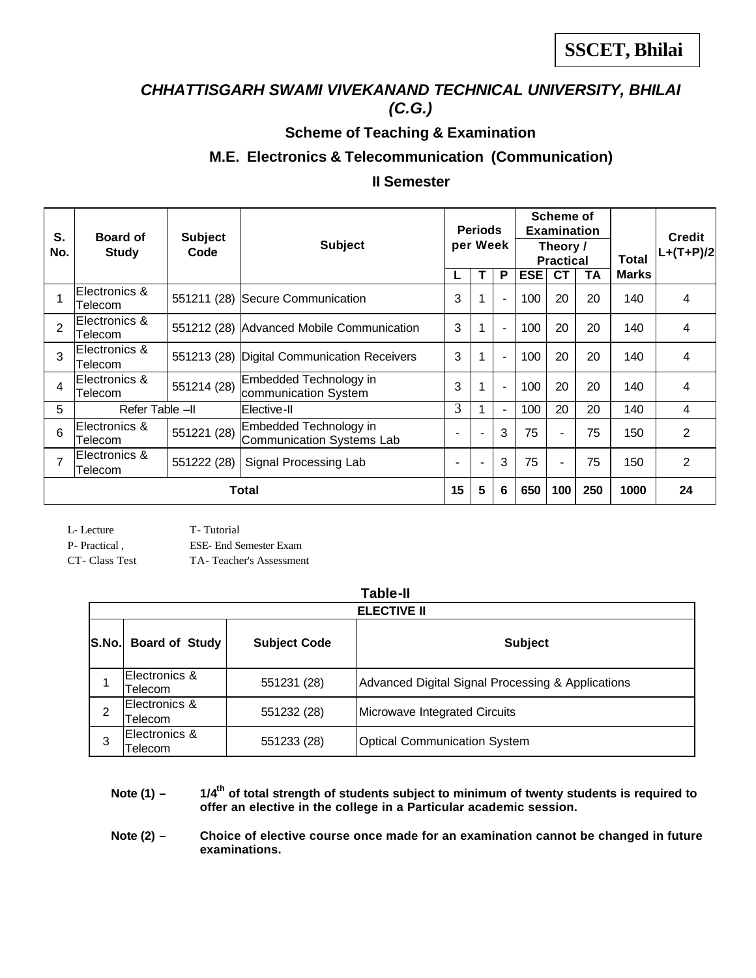### *CHHATTISGARH SWAMI VIVEKANAND TECHNICAL UNIVERSITY, BHILAI (C.G.)*

# **Scheme of Teaching & Examination**

### **M.E. Electronics & Telecommunication (Communication)**

### **II Semester**

| S.<br>No.      | <b>Board of</b><br><b>Study</b> | <b>Subject</b><br>Code | <b>Subject</b>                                      |                          | <b>Periods</b><br>per Week |                |            | Scheme of<br><b>Examination</b><br>Theory /<br><b>Practical</b> |     |              | <b>Credit</b><br>$L+(T+P)/2$ |
|----------------|---------------------------------|------------------------|-----------------------------------------------------|--------------------------|----------------------------|----------------|------------|-----------------------------------------------------------------|-----|--------------|------------------------------|
|                |                                 |                        |                                                     | L                        |                            | P              | <b>ESE</b> | <b>CT</b>                                                       | ΤA  | <b>Marks</b> |                              |
|                | Electronics &<br>Telecom        |                        | 551211 (28) Secure Communication                    | 3                        |                            | $\blacksquare$ | 100        | 20                                                              | 20  | 140          | 4                            |
| $\overline{2}$ | Electronics &<br>Telecom        |                        | 551212 (28) Advanced Mobile Communication           | 3                        |                            | $\blacksquare$ | 100        | 20                                                              | 20  | 140          | 4                            |
| 3              | Electronics &<br>Telecom        |                        | 551213 (28) Digital Communication Receivers         | 3                        |                            | $\blacksquare$ | 100        | 20                                                              | 20  | 140          | 4                            |
| 4              | Electronics &<br>Telecom        | 551214 (28)            | Embedded Technology in<br>communication System      | 3                        |                            | $\blacksquare$ | 100        | 20                                                              | 20  | 140          | 4                            |
| 5              | Refer Table -II                 |                        | Elective-II                                         | 3                        |                            | $\blacksquare$ | 100        | 20                                                              | 20  | 140          | 4                            |
| 6              | Electronics &<br>Telecom        | 551221 (28)            | Embedded Technology in<br>Communication Systems Lab |                          |                            | 3              | 75         | $\overline{\phantom{a}}$                                        | 75  | 150          | 2                            |
|                | Electronics &<br>Telecom        | 551222 (28)            | Signal Processing Lab                               | $\overline{\phantom{0}}$ | $\overline{\phantom{a}}$   | 3              | 75         | $\overline{\phantom{a}}$                                        | 75  | 150          | 2                            |
|                | Total                           |                        |                                                     | 15                       | 5                          | 6              | 650        | 100                                                             | 250 | 1000         | 24                           |

| L-Lecture     | T-Tutorial             |
|---------------|------------------------|
| P- Practical, | ESE- End Semester Exam |

CT- Class Test TA- Teacher's Assessment

### **Table-II**

|                                 | <b>ELECTIVE II</b>        |                     |                                                   |  |  |  |  |  |  |  |
|---------------------------------|---------------------------|---------------------|---------------------------------------------------|--|--|--|--|--|--|--|
| <b>Board of Study</b><br> S.No. |                           | <b>Subject Code</b> | <b>Subject</b>                                    |  |  |  |  |  |  |  |
|                                 | Electronics &<br>Felecom. | 551231 (28)         | Advanced Digital Signal Processing & Applications |  |  |  |  |  |  |  |
| 2                               | Electronics &<br>Telecom  | 551232 (28)         | Microwave Integrated Circuits                     |  |  |  |  |  |  |  |
| 3                               | Electronics &<br>Felecom  | 551233 (28)         | <b>Optical Communication System</b>               |  |  |  |  |  |  |  |

**Note (1) – 1/4th of total strength of students subject to minimum of twenty students is required to offer an elective in the college in a Particular academic session.**

Note (2) - Choice of elective course once made for an examination cannot be changed in future **examinations.**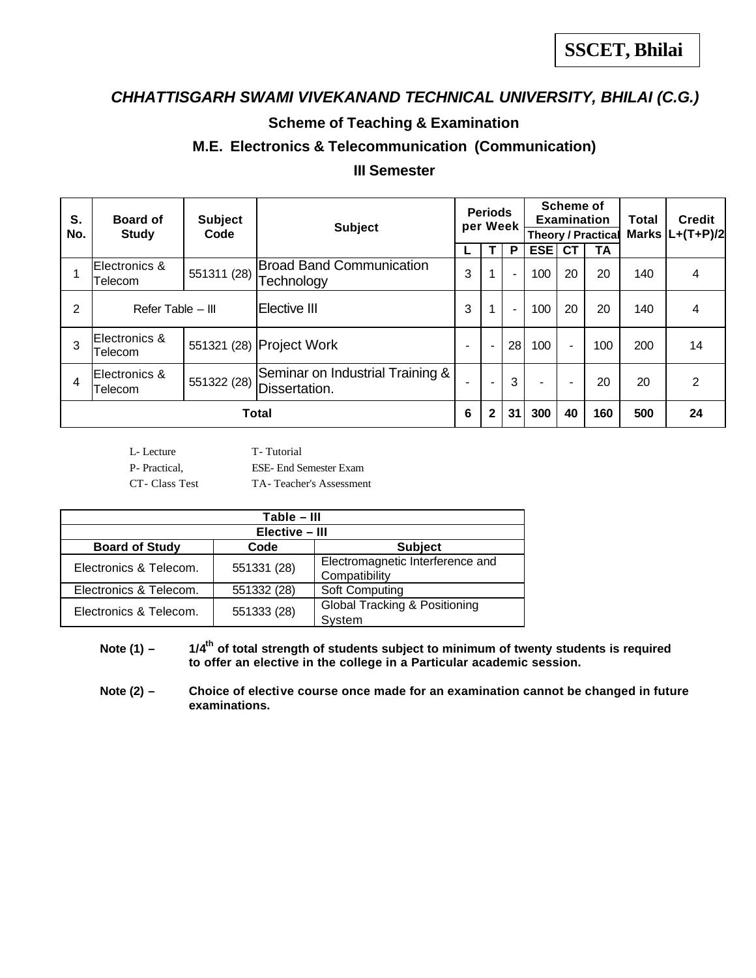# *CHHATTISGARH SWAMI VIVEKANAND TECHNICAL UNIVERSITY, BHILAI (C.G.)*

### **Scheme of Teaching & Examination**

### **M.E. Electronics & Telecommunication (Communication)**

### **III Semester**

| S.  | <b>Board of</b>          | <b>Subject</b> | <b>Subject</b>                                    | <b>Periods</b><br>per Week |                          | Scheme of<br><b>Examination</b> |            | <b>Total</b>   | <b>Credit</b>             |     |                     |
|-----|--------------------------|----------------|---------------------------------------------------|----------------------------|--------------------------|---------------------------------|------------|----------------|---------------------------|-----|---------------------|
| No. | <b>Study</b>             | Code           |                                                   |                            |                          |                                 |            |                | <b>Theory / Practical</b> |     | Marks $ L+(T+P)/2 $ |
|     |                          |                |                                                   |                            |                          | P                               | <b>ESE</b> | <b>CT</b>      | TA                        |     |                     |
|     | Electronics &<br>Telecom | 551311 (28)    | <b>Broad Band Communication</b><br>Technology     | 3                          |                          | -                               | 100        | 20             | 20                        | 140 | 4                   |
| 2   | Refer Table - III        |                | Elective III                                      | 3                          |                          | ۰.                              | 100        | 20             | 20                        | 140 | 4                   |
| 3   | Electronics &<br>Telecom |                | 551321 (28) Project Work                          | $\blacksquare$             | $\blacksquare$           | 28                              | 100        | $\blacksquare$ | 100                       | 200 | 14                  |
| 4   | Electronics &<br>Telecom | 551322 (28)    | Seminar on Industrial Training &<br>Dissertation. |                            | $\overline{\phantom{a}}$ | 3                               | -          | $\blacksquare$ | 20                        | 20  | 2                   |
|     | Total                    |                |                                                   | 6                          | $\mathbf{2}$             | 31                              | 300        | 40             | 160                       | 500 | 24                  |

L- Lecture T- Tutorial

P- Practical, ESE- End Semester Exam

CT- Class Test TA- Teacher's Assessment

| Table - III                                     |             |                                                   |  |  |  |  |  |  |
|-------------------------------------------------|-------------|---------------------------------------------------|--|--|--|--|--|--|
| Elective - III                                  |             |                                                   |  |  |  |  |  |  |
| <b>Board of Study</b><br>Code<br><b>Subject</b> |             |                                                   |  |  |  |  |  |  |
| Electronics & Telecom.                          | 551331 (28) | Electromagnetic Interference and<br>Compatibility |  |  |  |  |  |  |
| Electronics & Telecom.                          | 551332 (28) | Soft Computing                                    |  |  |  |  |  |  |
| Electronics & Telecom.                          | 551333 (28) | Global Tracking & Positioning<br>System           |  |  |  |  |  |  |

**Note (1) – 1/4th of total strength of students subject to minimum of twenty students is required to offer an elective in the college in a Particular academic session.**

Note (2) - Choice of elective course once made for an examination cannot be changed in future **examinations.**